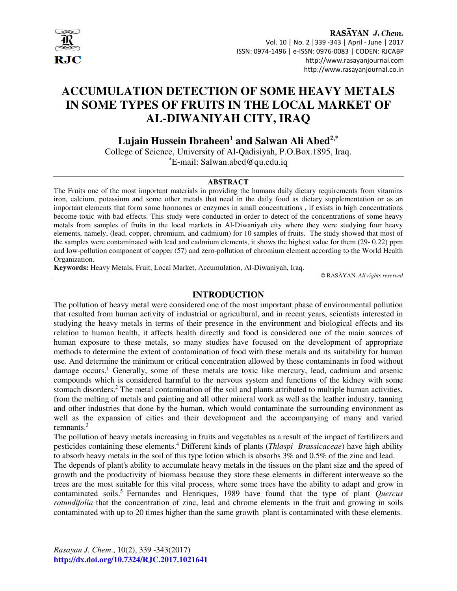

RASAYAN J. Chem. Vol. 10 | No. 2 |339 -343 | April - June | 2017 ISSN: 0974-1496 | e-ISSN: 0976-0083 | CODEN: RJCABP http://www.rasayanjournal.com http://www.rasayanjournal.co.in

# **ACCUMULATION DETECTION OF SOME HEAVY METALS IN SOME TYPES OF FRUITS IN THE LOCAL MARKET OF AL-DIWANIYAH CITY, IRAQ**

 **Lujain Hussein Ibraheen<sup>1</sup> and Salwan Ali Abed2,\*** 

College of Science, University of Al-Qadisiyah, P.O.Box.1895, Iraq. \*E-mail: Salwan.abed@qu.edu.iq

#### **ABSTRACT**

The Fruits one of the most important materials in providing the humans daily dietary requirements from vitamins iron, calcium, potassium and some other metals that need in the daily food as dietary supplementation or as an important elements that form some hormones or enzymes in small concentrations , if exists in high concentrations become toxic with bad effects. This study were conducted in order to detect of the concentrations of some heavy metals from samples of fruits in the local markets in Al-Diwaniyah city where they were studying four heavy elements, namely, (lead, copper, chromium, and cadmium) for 10 samples of fruits. The study showed that most of the samples were contaminated with lead and cadmium elements, it shows the highest value for them (29- 0.22) ppm and low-pollution component of copper (57) and zero-pollution of chromium element according to the World Health Organization.

**Keywords:** Heavy Metals, Fruit, Local Market, Accumulation, Al-Diwaniyah, Iraq.

© RASĀYAN. *All rights reserved*

## **INTRODUCTION**

The pollution of heavy metal were considered one of the most important phase of environmental pollution that resulted from human activity of industrial or agricultural, and in recent years, scientists interested in studying the heavy metals in terms of their presence in the environment and biological effects and its relation to human health, it affects health directly and food is considered one of the main sources of human exposure to these metals, so many studies have focused on the development of appropriate methods to determine the extent of contamination of food with these metals and its suitability for human use. And determine the minimum or critical concentration allowed by these contaminants in food without damage occurs.<sup>1</sup> Generally, some of these metals are toxic like mercury, lead, cadmium and arsenic compounds which is considered harmful to the nervous system and functions of the kidney with some stomach disorders.<sup>2</sup> The metal contamination of the soil and plants attributed to multiple human activities, from the melting of metals and painting and all other mineral work as well as the leather industry, tanning and other industries that done by the human, which would contaminate the surrounding environment as well as the expansion of cities and their development and the accompanying of many and varied remnants.<sup>3</sup>

The pollution of heavy metals increasing in fruits and vegetables as a result of the impact of fertilizers and pesticides containing these elements.<sup>4</sup> Different kinds of plants (*Thlaspi Brassicaceae*) have high ability to absorb heavy metals in the soil of this type lotion which is absorbs 3% and 0.5% of the zinc and lead.

The depends of plant's ability to accumulate heavy metals in the tissues on the plant size and the speed of growth and the productivity of biomass because they store these elements in different interweave so the trees are the most suitable for this vital process, where some trees have the ability to adapt and grow in contaminated soils.<sup>5</sup> Fernandes and Henriques, 1989 have found that the type of plant *Quercus rotundifolia* that the concentration of zinc, lead and chrome elements in the fruit and growing in soils contaminated with up to 20 times higher than the same growth plant is contaminated with these elements.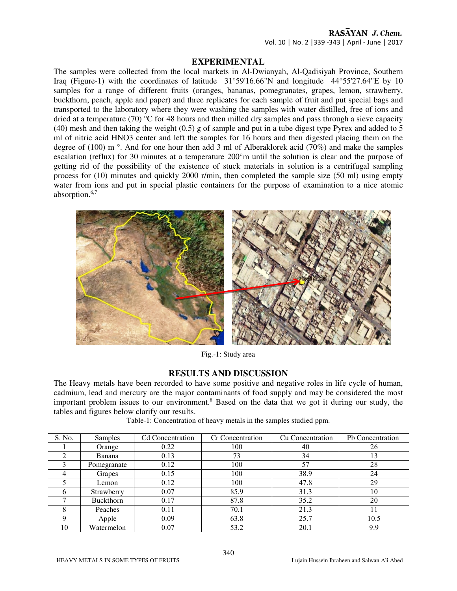## RASAYAN J. Chem. Vol. 10 | No. 2 |339 -343 | April - June | 2017

# **EXPERIMENTAL**

The samples were collected from the local markets in Al-Dwianyah, Al-Qadisiyah Province, Southern Iraq (Figure-1) with the coordinates of latitude 31°59'16.66"N and longitude 44°55'27.64"E by 10 samples for a range of different fruits (oranges, bananas, pomegranates, grapes, lemon, strawberry, buckthorn, peach, apple and paper) and three replicates for each sample of fruit and put special bags and transported to the laboratory where they were washing the samples with water distilled, free of ions and dried at a temperature (70) °C for 48 hours and then milled dry samples and pass through a sieve capacity (40) mesh and then taking the weight (0.5) g of sample and put in a tube digest type Pyrex and added to 5 ml of nitric acid HNO3 center and left the samples for 16 hours and then digested placing them on the degree of (100) m °. And for one hour then add 3 ml of Alberaklorek acid (70%) and make the samples escalation (reflux) for 30 minutes at a temperature 200°m until the solution is clear and the purpose of getting rid of the possibility of the existence of stuck materials in solution is a centrifugal sampling process for (10) minutes and quickly 2000 r/min, then completed the sample size (50 ml) using empty water from ions and put in special plastic containers for the purpose of examination to a nice atomic absorption.6,7



Fig.-1: Study area

#### **RESULTS AND DISCUSSION**

The Heavy metals have been recorded to have some positive and negative roles in life cycle of human, cadmium, lead and mercury are the major contaminants of food supply and may be considered the most important problem issues to our environment.<sup>8</sup> Based on the data that we got it during our study, the tables and figures below clarify our results.

| S. No.        | Samples          | <b>Cd</b> Concentration | Cr Concentration | Cu Concentration | Pb Concentration |
|---------------|------------------|-------------------------|------------------|------------------|------------------|
|               | Orange           | 0.22                    | 100              | 40               | 26               |
|               | Banana           | 0.13                    | 73               | 34               | 13               |
|               | Pomegranate      | 0.12                    | 100              | 57               | 28               |
| 4             | Grapes           | 0.15                    | 100              | 38.9             | 24               |
|               | Lemon            | 0.12                    | 100              | 47.8             | 29               |
| $\mathfrak b$ | Strawberry       | 0.07                    | 85.9             | 31.3             | 10               |
|               | <b>Buckthorn</b> | 0.17                    | 87.8             | 35.2             | 20               |
| 8             | Peaches          | 0.11                    | 70.1             | 21.3             | 11               |
| Q             | Apple            | 0.09                    | 63.8             | 25.7             | 10.5             |
| 10            | Watermelon       | 0.07                    | 53.2             | 20.1             | 9.9              |
|               |                  |                         |                  |                  |                  |

Table-1: Concentration of heavy metals in the samples studied ppm.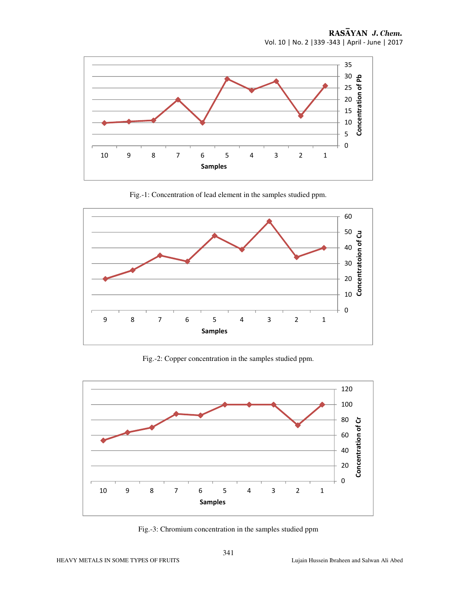

Fig.-1: Concentration of lead element in the samples studied ppm.



Fig.-2: Copper concentration in the samples studied ppm.



Fig.-3: Chromium concentration in the samples studied ppm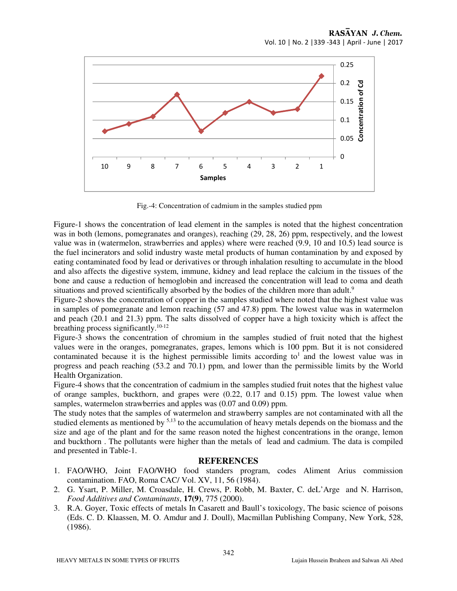

Fig.-4: Concentration of cadmium in the samples studied ppm

Figure-1 shows the concentration of lead element in the samples is noted that the highest concentration was in both (lemons, pomegranates and oranges), reaching (29, 28, 26) ppm, respectively, and the lowest value was in (watermelon, strawberries and apples) where were reached (9.9, 10 and 10.5) lead source is the fuel incinerators and solid industry waste metal products of human contamination by and exposed by eating contaminated food by lead or derivatives or through inhalation resulting to accumulate in the blood and also affects the digestive system, immune, kidney and lead replace the calcium in the tissues of the bone and cause a reduction of hemoglobin and increased the concentration will lead to coma and death situations and proved scientifically absorbed by the bodies of the children more than adult.<sup>9</sup>

Figure-2 shows the concentration of copper in the samples studied where noted that the highest value was in samples of pomegranate and lemon reaching (57 and 47.8) ppm. The lowest value was in watermelon and peach (20.1 and 21.3) ppm. The salts dissolved of copper have a high toxicity which is affect the breathing process significantly. $10-12$ 

Figure-3 shows the concentration of chromium in the samples studied of fruit noted that the highest values were in the oranges, pomegranates, grapes, lemons which is 100 ppm. But it is not considered contaminated because it is the highest permissible limits according to<sup>1</sup> and the lowest value was in progress and peach reaching (53.2 and 70.1) ppm, and lower than the permissible limits by the World Health Organization.

Figure-4 shows that the concentration of cadmium in the samples studied fruit notes that the highest value of orange samples, buckthorn, and grapes were (0.22, 0.17 and 0.15) ppm. The lowest value when samples, watermelon strawberries and apples was (0.07 and 0.09) ppm.

The study notes that the samples of watermelon and strawberry samples are not contaminated with all the studied elements as mentioned by <sup>5,13</sup> to the accumulation of heavy metals depends on the biomass and the size and age of the plant and for the same reason noted the highest concentrations in the orange, lemon and buckthorn . The pollutants were higher than the metals of lead and cadmium. The data is compiled and presented in Table-1.

#### **REFERENCES**

- 1. FAO/WHO, Joint FAO/WHO food standers program, codes Aliment Arius commission contamination. FAO, Roma CAC/ Vol. XV, 11, 56 (1984).
- 2. G. Ysart, P. Miller, M. Croasdale, H. Crews, P. Robb, M. Baxter, C. deL'Arge and N. Harrison, *Food Additives and Contaminants*, **17(9)**, 775 (2000).
- 3. R.A. Goyer, Toxic effects of metals In Casarett and Baull's toxicology, The basic science of poisons (Eds. C. D. Klaassen, M. O. Amdur and J. Doull), Macmillan Publishing Company, New York, 528, (1986).